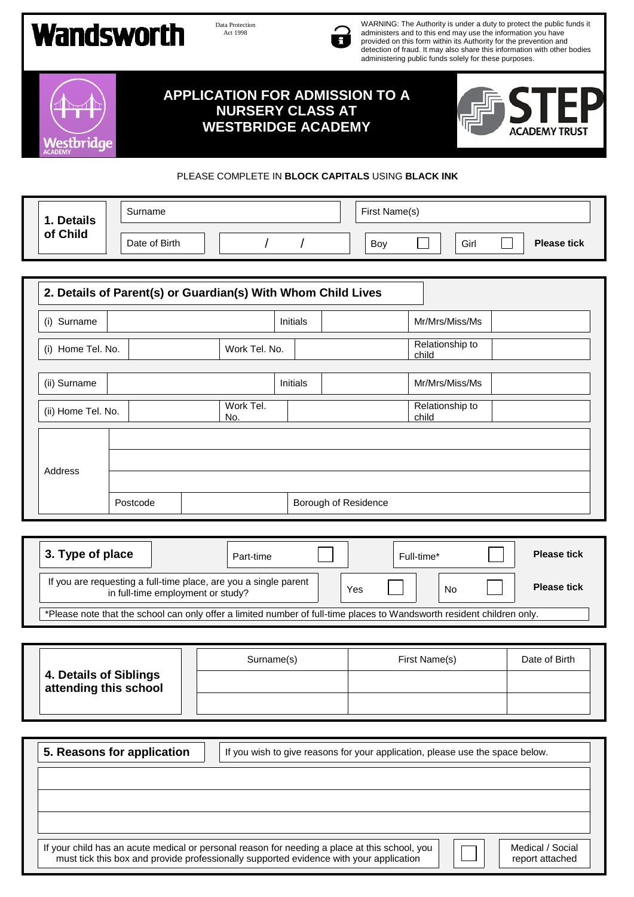## **Wandsworth**

prida

Data Protection Act 1998



WARNING: The Authority is under a duty to protect the public funds it administers and to this end may use the information you have provided on this form within its Authority for the prevention and detection of fraud. It may also share this information with other bodies administering public funds solely for these purposes.





## PLEASE COMPLETE IN **BLOCK CAPITALS** USING **BLACK INK**

|  | 1. Details<br>of Child | Surname       |  |  | First Name(s) |     |  |      |  |
|--|------------------------|---------------|--|--|---------------|-----|--|------|--|
|  |                        | Date of Birth |  |  |               | Boy |  | Girl |  |

| 2. Details of Parent(s) or Guardian(s) With Whom Child Lives |          |                  |                      |                          |  |  |  |  |
|--------------------------------------------------------------|----------|------------------|----------------------|--------------------------|--|--|--|--|
| Surname<br>(i)                                               |          |                  | <b>Initials</b>      | Mr/Mrs/Miss/Ms           |  |  |  |  |
| (i) Home Tel. No.                                            |          | Work Tel. No.    |                      | Relationship to<br>child |  |  |  |  |
| (ii) Surname                                                 |          |                  | <b>Initials</b>      | Mr/Mrs/Miss/Ms           |  |  |  |  |
| (ii) Home Tel. No.                                           |          | Work Tel.<br>No. |                      | Relationship to<br>child |  |  |  |  |
|                                                              |          |                  |                      |                          |  |  |  |  |
| Address                                                      |          |                  |                      |                          |  |  |  |  |
|                                                              | Postcode |                  | Borough of Residence |                          |  |  |  |  |

| 3. Type of place                                                                                                       | Part-time | Full-time* |  | <b>Please tick</b> |  |  |
|------------------------------------------------------------------------------------------------------------------------|-----------|------------|--|--------------------|--|--|
| If you are requesting a full-time place, are you a single parent<br>in full-time employment or study?                  | Yes       | No         |  | <b>Please tick</b> |  |  |
| *Please note that the school can only offer a limited number of full-time places to Wandsworth resident children only. |           |            |  |                    |  |  |

|                                                 | Surname(s) | First Name(s) | Date of Birth |
|-------------------------------------------------|------------|---------------|---------------|
| 4. Details of Siblings<br>attending this school |            |               |               |
|                                                 |            |               |               |

**5. Reasons for application** | | If you wish to give reasons for your application, please use the space below. If your child has an acute medical or personal reason for needing a place at this school, you must tick this box and provide professionally supported evidence with your application Medical / Social report attached